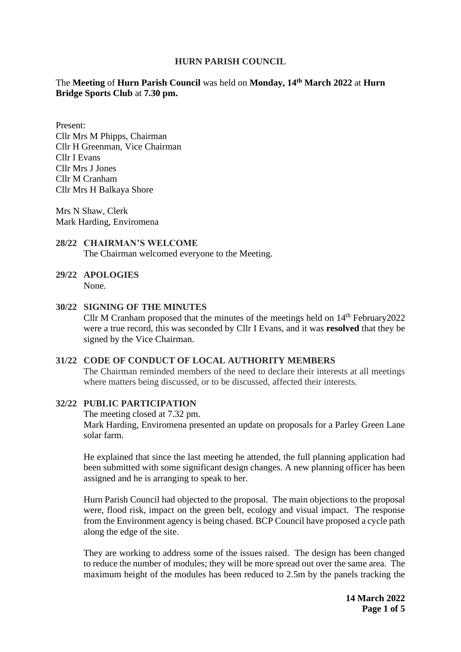## **HURN PARISH COUNCIL**

# The **Meeting** of **Hurn Parish Council** was held on **Monday, 14 th March 2022** at **Hurn Bridge Sports Club** at **7.30 pm.**

Present: Cllr Mrs M Phipps, Chairman Cllr H Greenman, Vice Chairman Cllr I Evans Cllr Mrs J Jones Cllr M Cranham Cllr Mrs H Balkaya Shore

Mrs N Shaw, Clerk Mark Harding, Enviromena

#### **28/22 CHAIRMAN'S WELCOME** The Chairman welcomed everyone to the Meeting.

# **29/22 APOLOGIES**

None.

## **30/22 SIGNING OF THE MINUTES**

Cllr M Cranham proposed that the minutes of the meetings held on  $14<sup>th</sup>$  February 2022 were a true record, this was seconded by Cllr I Evans, and it was **resolved** that they be signed by the Vice Chairman.

## **31/22 CODE OF CONDUCT OF LOCAL AUTHORITY MEMBERS**

The Chairman reminded members of the need to declare their interests at all meetings where matters being discussed, or to be discussed, affected their interests.

## **32/22 PUBLIC PARTICIPATION**

The meeting closed at 7.32 pm.

Mark Harding, Enviromena presented an update on proposals for a Parley Green Lane solar farm.

He explained that since the last meeting he attended, the full planning application had been submitted with some significant design changes. A new planning officer has been assigned and he is arranging to speak to her.

Hurn Parish Council had objected to the proposal. The main objections to the proposal were, flood risk, impact on the green belt, ecology and visual impact. The response from the Environment agency is being chased. BCP Council have proposed a cycle path along the edge of the site.

They are working to address some of the issues raised. The design has been changed to reduce the number of modules; they will be more spread out over the same area. The maximum height of the modules has been reduced to 2.5m by the panels tracking the

> **14 March 2022 Page 1 of 5**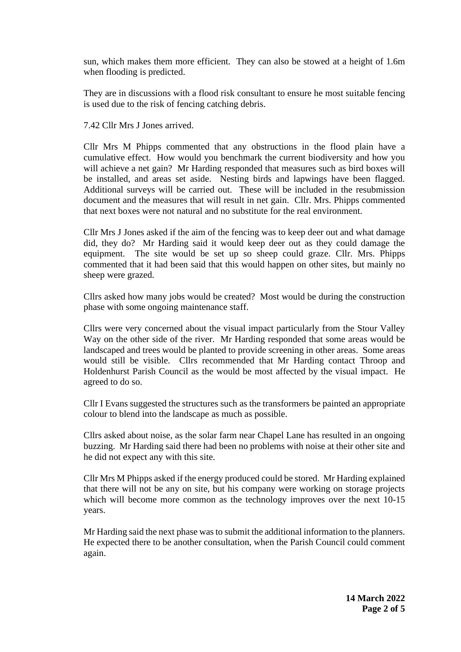sun, which makes them more efficient. They can also be stowed at a height of 1.6m when flooding is predicted.

They are in discussions with a flood risk consultant to ensure he most suitable fencing is used due to the risk of fencing catching debris.

7.42 Cllr Mrs J Jones arrived.

Cllr Mrs M Phipps commented that any obstructions in the flood plain have a cumulative effect. How would you benchmark the current biodiversity and how you will achieve a net gain? Mr Harding responded that measures such as bird boxes will be installed, and areas set aside. Nesting birds and lapwings have been flagged. Additional surveys will be carried out. These will be included in the resubmission document and the measures that will result in net gain. Cllr. Mrs. Phipps commented that next boxes were not natural and no substitute for the real environment.

Cllr Mrs J Jones asked if the aim of the fencing was to keep deer out and what damage did, they do? Mr Harding said it would keep deer out as they could damage the equipment. The site would be set up so sheep could graze. Cllr. Mrs. Phipps commented that it had been said that this would happen on other sites, but mainly no sheep were grazed.

Cllrs asked how many jobs would be created? Most would be during the construction phase with some ongoing maintenance staff.

Cllrs were very concerned about the visual impact particularly from the Stour Valley Way on the other side of the river. Mr Harding responded that some areas would be landscaped and trees would be planted to provide screening in other areas. Some areas would still be visible. Cllrs recommended that Mr Harding contact Throop and Holdenhurst Parish Council as the would be most affected by the visual impact. He agreed to do so.

Cllr I Evans suggested the structures such as the transformers be painted an appropriate colour to blend into the landscape as much as possible.

Cllrs asked about noise, as the solar farm near Chapel Lane has resulted in an ongoing buzzing. Mr Harding said there had been no problems with noise at their other site and he did not expect any with this site.

Cllr Mrs M Phipps asked if the energy produced could be stored. Mr Harding explained that there will not be any on site, but his company were working on storage projects which will become more common as the technology improves over the next 10-15 years.

Mr Harding said the next phase was to submit the additional information to the planners. He expected there to be another consultation, when the Parish Council could comment again.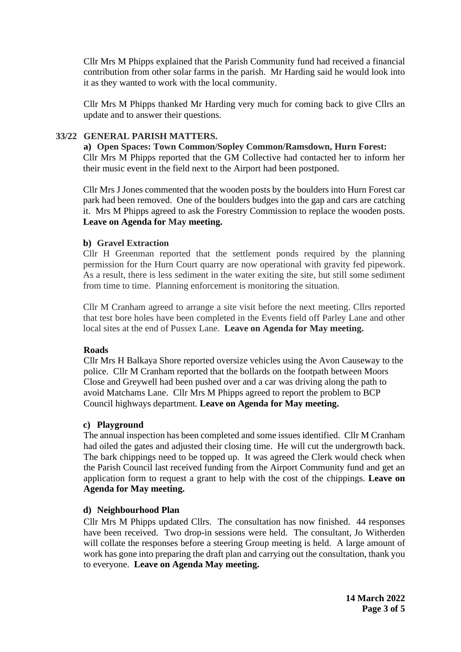Cllr Mrs M Phipps explained that the Parish Community fund had received a financial contribution from other solar farms in the parish. Mr Harding said he would look into it as they wanted to work with the local community.

Cllr Mrs M Phipps thanked Mr Harding very much for coming back to give Cllrs an update and to answer their questions.

## **33/22 GENERAL PARISH MATTERS.**

**a) Open Spaces: Town Common/Sopley Common/Ramsdown, Hurn Forest:** Cllr Mrs M Phipps reported that the GM Collective had contacted her to inform her their music event in the field next to the Airport had been postponed.

Cllr Mrs J Jones commented that the wooden posts by the boulders into Hurn Forest car park had been removed. One of the boulders budges into the gap and cars are catching it. Mrs M Phipps agreed to ask the Forestry Commission to replace the wooden posts. **Leave on Agenda for May meeting.** 

## **b) Gravel Extraction**

Cllr H Greenman reported that the settlement ponds required by the planning permission for the Hurn Court quarry are now operational with gravity fed pipework. As a result, there is less sediment in the water exiting the site, but still some sediment from time to time. Planning enforcement is monitoring the situation.

Cllr M Cranham agreed to arrange a site visit before the next meeting. Cllrs reported that test bore holes have been completed in the Events field off Parley Lane and other local sites at the end of Pussex Lane. **Leave on Agenda for May meeting.**

## **Roads**

Cllr Mrs H Balkaya Shore reported oversize vehicles using the Avon Causeway to the police. Cllr M Cranham reported that the bollards on the footpath between Moors Close and Greywell had been pushed over and a car was driving along the path to avoid Matchams Lane. Cllr Mrs M Phipps agreed to report the problem to BCP Council highways department. **Leave on Agenda for May meeting.** 

## **c) Playground**

The annual inspection has been completed and some issues identified. Cllr M Cranham had oiled the gates and adjusted their closing time. He will cut the undergrowth back. The bark chippings need to be topped up. It was agreed the Clerk would check when the Parish Council last received funding from the Airport Community fund and get an application form to request a grant to help with the cost of the chippings. **Leave on Agenda for May meeting.** 

## **d) Neighbourhood Plan**

Cllr Mrs M Phipps updated Cllrs. The consultation has now finished. 44 responses have been received. Two drop-in sessions were held. The consultant, Jo Witherden will collate the responses before a steering Group meeting is held. A large amount of work has gone into preparing the draft plan and carrying out the consultation, thank you to everyone. **Leave on Agenda May meeting.**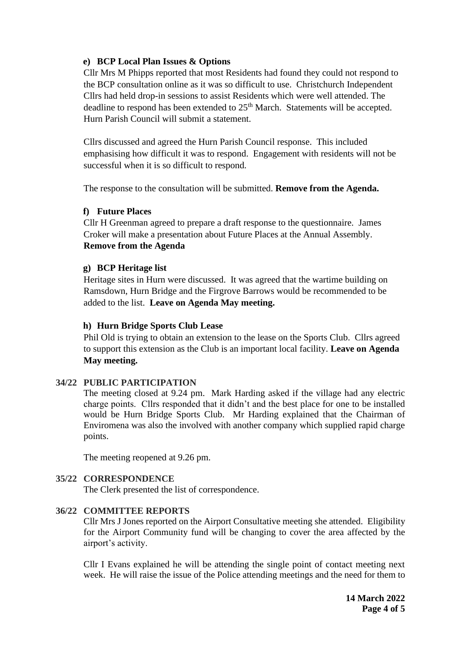# **e) BCP Local Plan Issues & Options**

Cllr Mrs M Phipps reported that most Residents had found they could not respond to the BCP consultation online as it was so difficult to use. Christchurch Independent Cllrs had held drop-in sessions to assist Residents which were well attended. The deadline to respond has been extended to  $25<sup>th</sup>$  March. Statements will be accepted. Hurn Parish Council will submit a statement.

Cllrs discussed and agreed the Hurn Parish Council response. This included emphasising how difficult it was to respond. Engagement with residents will not be successful when it is so difficult to respond.

The response to the consultation will be submitted. **Remove from the Agenda.** 

# **f) Future Places**

Cllr H Greenman agreed to prepare a draft response to the questionnaire. James Croker will make a presentation about Future Places at the Annual Assembly. **Remove from the Agenda**

## **g) BCP Heritage list**

Heritage sites in Hurn were discussed. It was agreed that the wartime building on Ramsdown, Hurn Bridge and the Firgrove Barrows would be recommended to be added to the list. **Leave on Agenda May meeting.**

## **h) Hurn Bridge Sports Club Lease**

Phil Old is trying to obtain an extension to the lease on the Sports Club. Cllrs agreed to support this extension as the Club is an important local facility. **Leave on Agenda May meeting.**

# **34/22 PUBLIC PARTICIPATION**

The meeting closed at 9.24 pm. Mark Harding asked if the village had any electric charge points. Cllrs responded that it didn't and the best place for one to be installed would be Hurn Bridge Sports Club. Mr Harding explained that the Chairman of Enviromena was also the involved with another company which supplied rapid charge points.

The meeting reopened at 9.26 pm.

# **35/22 CORRESPONDENCE**

The Clerk presented the list of correspondence.

# **36/22 COMMITTEE REPORTS**

Cllr Mrs J Jones reported on the Airport Consultative meeting she attended. Eligibility for the Airport Community fund will be changing to cover the area affected by the airport's activity.

Cllr I Evans explained he will be attending the single point of contact meeting next week. He will raise the issue of the Police attending meetings and the need for them to